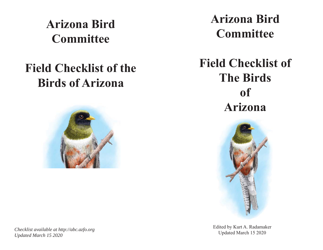**Arizona Bird Committee**

## **Field Checklist of the Birds of Arizona**



*Checklist available at http://abc.azfo.org Updated March 15 2020* 

**Arizona Bird Committee**

**Field Checklist of The Birds of Arizona**



Edited by Kurt A. Radamaker Updated March 15 2020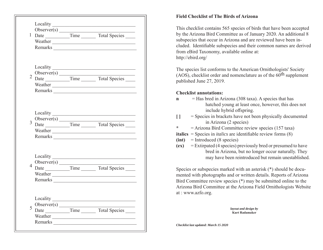|                                                 |      | 2 Observer(s) Time Total Species                    |
|-------------------------------------------------|------|-----------------------------------------------------|
| 3                                               |      |                                                     |
| $\overline{4}$                                  |      | Date ___________Time __________ Total Species _____ |
| Locality<br>Observer(s)<br>5<br>Date<br>Weather | Time | Total Species                                       |

## **Field Checklist of The Birds of Arizona**

This checklist contains 565 species of birds that have been accepted by the Arizona Bird Committee as of January 2020. An additional 8 subspecies that occur in Arizona and are reviewed have been included. Identifiable subspecies and their common names are derived from eBird Taxonomy, available online at: http://ebird.org/

The species list conforms to the American Ornithologists' Society (AOS), checklist order and nomenclature as of the  $60<sup>th</sup>$  supplement published June 27, 2019.

## **Checklist annotations:**

- **n** = Has bred in Arizona (308 taxa). A species that has hatched young at least once, however, this does not include hybrid offspring.
- **[ ]** = Species in brackets have not been physically documented in Arizona (2 species)
- **\***= Arizona Bird Committee review species (157 taxa)
- **italics** = Species in *italics* are identifiable review forms  $(8)$
- **(int)** = Introduced (8 species)
- **(ex)** = Extirpated (4 species) previously bred or presumed to have bred in Arizona, but no longer occur naturally. They may have been reintroduced but remain unestablished.

Species or subspecies marked with an asterisk (\*) should be documented with photographs and or written details. Reports of Arizona Bird Committee review species (\*) may be submitted online to the Arizona Bird Committee at the Arizona Field Ornithologists Website at : www.azfo.org.

> *layout and design by*  **Kurt Radamaker**

*Checklist last updated: March 15 2020*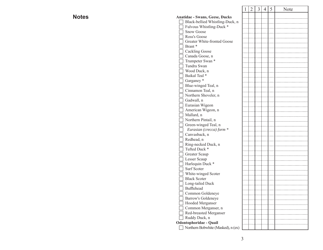$2 \mid 3 \mid 4 \mid 5 \mid$  Note **Anatidae - Swans, Geese, Ducks** Black-bellied Whistling-Duck, n Fulvous Whistling-Duck \* □ Snow Goose Ross's Goose □ Greater White-fronted Goose Brant \* Cackling Goose Canada Goose, n Trumpeter Swan \* Tundra Swan Wood Duck, n Baikal Teal \* Garganey<sup>\*</sup>  $\Box$  Blue-winged Teal, n Cinnamon Teal, n Northern Shoveler, n Gadwall, n Eurasian Wigeon American Wigeon, n Mallard, n Northern Pintail, n Green-winged Teal, n *Eurasian (crecca) form \** Canvasback, n Redhead, n Ring-necked Duck, n Tufted Duck \* Greater Scaup Lesser Scaup Harlequin Duck \* □ Surf Scoter White-winged Scoter Black Scoter □ Long-tailed Duck  $\Box$  Bufflehead Common Goldeneye **Barrow's Goldeneye** □ Hooded Merganser Common Merganser, n Red-breasted Merganser Ruddy Duck, n **Odontophoridae - Quail**

## **Notes**

Northern Bobwhite (Masked), n (ex)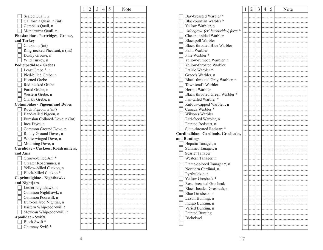|                                       | 1 | $\overline{2}$ | 3 | 4 | 5 | Note |
|---------------------------------------|---|----------------|---|---|---|------|
| Scaled Quail, n                       |   |                |   |   |   |      |
| California Quail, n (int)             |   |                |   |   |   |      |
| Gambel's Quail, n                     |   |                |   |   |   |      |
| Montezuma Quail, n                    |   |                |   |   |   |      |
| Phasianidae - Partridges, Grouse,     |   |                |   |   |   |      |
| and Turkey                            |   |                |   |   |   |      |
| Chukar, n (int)                       |   |                |   |   |   |      |
| Ring-necked Pheasant, n (int)         |   |                |   |   |   |      |
| Dusky Grouse, n                       |   |                |   |   |   |      |
| Wild Turkey, n                        |   |                |   |   |   |      |
| <b>Podicipedidae - Grebes</b>         |   |                |   |   |   |      |
| Least Grebe *, n                      |   |                |   |   |   |      |
| Pied-billed Grebe, n                  |   |                |   |   |   |      |
| Horned Grebe                          |   |                |   |   |   |      |
| Red-necked Grebe                      |   |                |   |   |   |      |
| Eared Grebe, n                        |   |                |   |   |   |      |
| Western Grebe, n                      |   |                |   |   |   |      |
| Clark's Grebe, n                      |   |                |   |   |   |      |
| <b>Columbidae - Pigeons and Doves</b> |   |                |   |   |   |      |
| Rock Pigeon, n (int)                  |   |                |   |   |   |      |
| Band-tailed Pigeon, n                 |   |                |   |   |   |      |
| Eurasian Collared-Dove, n (int)       |   |                |   |   |   |      |
| Inca Dove, n                          |   |                |   |   |   |      |
| Common Ground Dove, n                 |   |                |   |   |   |      |
|                                       |   |                |   |   |   |      |
| Ruddy Ground Dove, n                  |   |                |   |   |   |      |
| White-winged Dove, n                  |   |                |   |   |   |      |
| Mourning Dove, n                      |   |                |   |   |   |      |
| Cuculidae - Cuckoos, Roadrunners,     |   |                |   |   |   |      |
| and Anis                              |   |                |   |   |   |      |
| Groove-billed Ani*                    |   |                |   |   |   |      |
| Greater Roadrunner, n                 |   |                |   |   |   |      |
| Yellow-billed Cuckoo, n               |   |                |   |   |   |      |
| Black-billed Cuckoo*                  |   |                |   |   |   |      |
| Caprimulgidae - Nighthawks            |   |                |   |   |   |      |
| and Nightjars                         |   |                |   |   |   |      |
| Lesser Nighthawk, n                   |   |                |   |   |   |      |
| Common Nighthawk, n                   |   |                |   |   |   |      |
| Common Poorwill, n                    |   |                |   |   |   |      |
| Buff-collared Nightjar, n             |   |                |   |   |   |      |
| Eastern Whip-poor-will *              |   |                |   |   |   |      |
| Mexican Whip-poor-will, n             |   |                |   |   |   |      |
| <b>Apodidae - Swifts</b>              |   |                |   |   |   |      |
| Black Swift*                          |   |                |   |   |   |      |
| Chimney Swift*                        |   |                |   |   |   |      |

|                                              | 1 | $\overline{2}$ | 3 | 4 | 5 | Note |
|----------------------------------------------|---|----------------|---|---|---|------|
| Bay-breasted Warbler *                       |   |                |   |   |   |      |
| Blackburnian Warbler *                       |   |                |   |   |   |      |
| Yellow Warbler, n                            |   |                |   |   |   |      |
| Mangrove (erithachorides) form *             |   |                |   |   |   |      |
| Chestnut-sided Warbler                       |   |                |   |   |   |      |
| <b>Blackpoll Warbler</b>                     |   |                |   |   |   |      |
| <b>Black-throated Blue Warbler</b>           |   |                |   |   |   |      |
| Palm Warbler                                 |   |                |   |   |   |      |
| Pine Warbler *                               |   |                |   |   |   |      |
| Yellow-rumped Warbler, n                     |   |                |   |   |   |      |
| Yellow-throated Warbler                      |   |                |   |   |   |      |
| Prairie Warbler *                            |   |                |   |   |   |      |
| Grace's Warbler, n                           |   |                |   |   |   |      |
| Black-throated Gray Warbler, n               |   |                |   |   |   |      |
| Townsend's Warbler                           |   |                |   |   |   |      |
| Hermit Warbler                               |   |                |   |   |   |      |
| Black-throated Green Warbler *               |   |                |   |   |   |      |
| Fan-tailed Warbler *                         |   |                |   |   |   |      |
|                                              |   |                |   |   |   |      |
| Rufous-capped Warbler, n<br>Canada Warbler * |   |                |   |   |   |      |
| Wilson's Warbler                             |   |                |   |   |   |      |
| Red-faced Warbler, n                         |   |                |   |   |   |      |
| Painted Redstart, n                          |   |                |   |   |   |      |
| Slate-throated Redstart *                    |   |                |   |   |   |      |
| Cardinalidae - Cardinals, Grosbeaks,         |   |                |   |   |   |      |
|                                              |   |                |   |   |   |      |
| and Buntings                                 |   |                |   |   |   |      |
| Hepatic Tanager, n                           |   |                |   |   |   |      |
| Summer Tanager, n                            |   |                |   |   |   |      |
| <b>Scarlet Tanager</b>                       |   |                |   |   |   |      |
| Western Tanager, n                           |   |                |   |   |   |      |
| Flame-colored Tanager *, n                   |   |                |   |   |   |      |
| Northern Cardinal, n                         |   |                |   |   |   |      |
| Pyrrhuloxia, n                               |   |                |   |   |   |      |
| Yellow Grosbeak *                            |   |                |   |   |   |      |
| Rose-breasted Grosbeak                       |   |                |   |   |   |      |
| Black-headed Grosbeak, n                     |   |                |   |   |   |      |
| Blue Grosbeak, n                             |   |                |   |   |   |      |
| Lazuli Bunting, n                            |   |                |   |   |   |      |
| Indigo Bunting, n                            |   |                |   |   |   |      |
| Varied Bunting, n                            |   |                |   |   |   |      |
| <b>Painted Bunting</b>                       |   |                |   |   |   |      |
| Dickcissel                                   |   |                |   |   |   |      |
|                                              |   |                |   |   |   |      |
|                                              |   |                |   |   |   |      |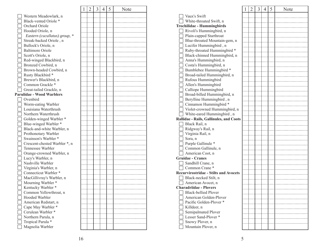|                                                | 1 | 2 | 3 | 4 | 5 | Note |
|------------------------------------------------|---|---|---|---|---|------|
| Western Meadowlark, n                          |   |   |   |   |   |      |
| Black-vented Oriole*                           |   |   |   |   |   |      |
| Orchard Oriole                                 |   |   |   |   |   |      |
| Hooded Oriole, n                               |   |   |   |   |   |      |
| Eastern (cucullatus) group, *                  |   |   |   |   |   |      |
| Streak-backed Oriole, n                        |   |   |   |   |   |      |
| Bullock's Oriole, n                            |   |   |   |   |   |      |
| <b>Baltimore Oriole</b>                        |   |   |   |   |   |      |
| Scott's Oriole, n                              |   |   |   |   |   |      |
| Red-winged Blackbird, n                        |   |   |   |   |   |      |
| Bronzed Cowbird, n                             |   |   |   |   |   |      |
|                                                |   |   |   |   |   |      |
| Brown-headed Cowbird, n                        |   |   |   |   |   |      |
| Rusty Blackbird *                              |   |   |   |   |   |      |
| Brewer's Blackbird, n                          |   |   |   |   |   |      |
| Common Grackle*                                |   |   |   |   |   |      |
| Great-tailed Grackle, n                        |   |   |   |   |   |      |
| <b>Parulidae - Wood Warblers</b>               |   |   |   |   |   |      |
| Ovenbird                                       |   |   |   |   |   |      |
| Worm-eating Warbler<br>Louisiana Waterthrush   |   |   |   |   |   |      |
| Northern Waterthrush                           |   |   |   |   |   |      |
| Golden-winged Warbler *                        |   |   |   |   |   |      |
|                                                |   |   |   |   |   |      |
| Blue-winged Warbler *                          |   |   |   |   |   |      |
| Black-and-white Warbler, n                     |   |   |   |   |   |      |
| Prothonotary Warbler<br>Swainson's Warbler *   |   |   |   |   |   |      |
|                                                |   |   |   |   |   |      |
| Crescent-chested Warbler *, n                  |   |   |   |   |   |      |
| Tennessee Warbler                              |   |   |   |   |   |      |
| Orange-crowned Warbler, n<br>Lucy's Warbler, n |   |   |   |   |   |      |
| Nashville Warbler                              |   |   |   |   |   |      |
| Virginia's Warbler, n                          |   |   |   |   |   |      |
| Connecticut Warbler *                          |   |   |   |   |   |      |
| MacGillivray's Warbler, n                      |   |   |   |   |   |      |
| Mourning Warbler *                             |   |   |   |   |   |      |
| Kentucky Warbler *                             |   |   |   |   |   |      |
| Common Yellowthroat, n                         |   |   |   |   |   |      |
| <b>Hooded Warbler</b>                          |   |   |   |   |   |      |
| American Redstart, n                           |   |   |   |   |   |      |
| Cape May Warbler *                             |   |   |   |   |   |      |
| Cerulean Warbler *                             |   |   |   |   |   |      |
| Northern Parula, n                             |   |   |   |   |   |      |
| Tropical Parula *                              |   |   |   |   |   |      |
| Magnolia Warbler                               |   |   |   |   |   |      |
|                                                |   |   |   |   |   |      |

|                                                | 1 | $\overline{2}$ | 3 | 4 | 5 | Note |
|------------------------------------------------|---|----------------|---|---|---|------|
| Vaux's Swift                                   |   |                |   |   |   |      |
| White-throated Swift, n                        |   |                |   |   |   |      |
| <b>Trochilidae - Hummingbirds</b>              |   |                |   |   |   |      |
| Rivoli's Hummingbird, n                        |   |                |   |   |   |      |
| Plain-capped Starthroat                        |   |                |   |   |   |      |
| Blue-throated Mountain-gem, n                  |   |                |   |   |   |      |
| Lucifer Hummingbird, n                         |   |                |   |   |   |      |
| Ruby-throated Hummingbird *                    |   |                |   |   |   |      |
| Black-chinned Hummingbird, n                   |   |                |   |   |   |      |
| Anna's Hummingbird, n                          |   |                |   |   |   |      |
| Costa's Hummingbird, n                         |   |                |   |   |   |      |
| Bumblebee Hummingbird *                        |   |                |   |   |   |      |
| Broad-tailed Hummingbird, n                    |   |                |   |   |   |      |
| Rufous Hummingbird                             |   |                |   |   |   |      |
| Allen's Hummingbird                            |   |                |   |   |   |      |
| Calliope Hummingbird                           |   |                |   |   |   |      |
| Broad-billed Hummingbird, n                    |   |                |   |   |   |      |
| Berylline Hummingbird, n                       |   |                |   |   |   |      |
| Cinnamon Hummingbird *                         |   |                |   |   |   |      |
| Violet-crowned Hummingbird, n                  |   |                |   |   |   |      |
| White-eared Hummingbird, n                     |   |                |   |   |   |      |
| <b>Rallidae - Rails, Gallinules, and Coots</b> |   |                |   |   |   |      |
| Black Rail, n                                  |   |                |   |   |   |      |
| Ridgway's Rail, n                              |   |                |   |   |   |      |
| Virginia Rail, n                               |   |                |   |   |   |      |
| Sora, n                                        |   |                |   |   |   |      |
| Purple Gallinule *                             |   |                |   |   |   |      |
| Common Gallinule, n                            |   |                |   |   |   |      |
| American Coot, n                               |   |                |   |   |   |      |
| <b>Gruidae - Cranes</b>                        |   |                |   |   |   |      |
| Sandhill Crane, n                              |   |                |   |   |   |      |
| Common Crane*                                  |   |                |   |   |   |      |
| <b>Recurvirostridae - Stilts and Avocets</b>   |   |                |   |   |   |      |
| Black-necked Stilt, n                          |   |                |   |   |   |      |
| American Avocet, n                             |   |                |   |   |   |      |
| <b>Charadriidae - Plovers</b>                  |   |                |   |   |   |      |
| <b>Black-bellied Plover</b>                    |   |                |   |   |   |      |
| American Golden-Plover                         |   |                |   |   |   |      |
| Pacific Golden-Plover *                        |   |                |   |   |   |      |
| Killdeer, n                                    |   |                |   |   |   |      |
| Semipalmated Plover                            |   |                |   |   |   |      |
| Lesser Sand-Plover <sup>*</sup>                |   |                |   |   |   |      |
| Snowy Plover, n                                |   |                |   |   |   |      |
| Mountain Plover, n                             |   |                |   |   |   |      |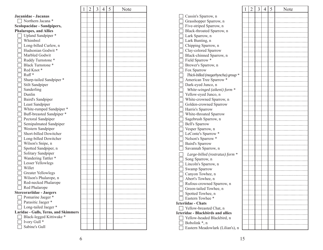|                                      | 1 | $\overline{2}$ | 3 | $\overline{4}$ | 5 | Note |
|--------------------------------------|---|----------------|---|----------------|---|------|
| Jacanidae - Jacanas                  |   |                |   |                |   |      |
| Northern Jacana *                    |   |                |   |                |   |      |
| Scolopacidae - Sandpipers,           |   |                |   |                |   |      |
| <b>Phalaropes, and Allies</b>        |   |                |   |                |   |      |
| Upland Sandpiper*                    |   |                |   |                |   |      |
| Whimbrel                             |   |                |   |                |   |      |
| Long-billed Curlew, n                |   |                |   |                |   |      |
| Hudsonian Godwit*                    |   |                |   |                |   |      |
| Marbled Godwit                       |   |                |   |                |   |      |
| Ruddy Turnstone*                     |   |                |   |                |   |      |
| <b>Black Turnstone *</b>             |   |                |   |                |   |      |
| Red Knot*                            |   |                |   |                |   |      |
| Ruff <sup>*</sup>                    |   |                |   |                |   |      |
|                                      |   |                |   |                |   |      |
| Sharp-tailed Sandpiper *             |   |                |   |                |   |      |
| Stilt Sandpiper                      |   |                |   |                |   |      |
| Sanderling                           |   |                |   |                |   |      |
| Dunlin                               |   |                |   |                |   |      |
| Baird's Sandpiper                    |   |                |   |                |   |      |
| Least Sandpiper                      |   |                |   |                |   |      |
| White-rumped Sandpiper *             |   |                |   |                |   |      |
| Buff-breasted Sandpiper *            |   |                |   |                |   |      |
| Pectoral Sandpiper                   |   |                |   |                |   |      |
| Semipalmated Sandpiper               |   |                |   |                |   |      |
| Western Sandpiper                    |   |                |   |                |   |      |
| Short-billed Dowitcher               |   |                |   |                |   |      |
| Long-billed Dowitcher                |   |                |   |                |   |      |
| Wilson's Snipe, n                    |   |                |   |                |   |      |
| Spotted Sandpiper, n                 |   |                |   |                |   |      |
| Solitary Sandpiper                   |   |                |   |                |   |      |
| Wandering Tattler*                   |   |                |   |                |   |      |
| Lesser Yellowlegs                    |   |                |   |                |   |      |
| Willet                               |   |                |   |                |   |      |
| Greater Yellowlegs                   |   |                |   |                |   |      |
| Wilson's Phalarope, n                |   |                |   |                |   |      |
| Red-necked Phalarope                 |   |                |   |                |   |      |
| Red Phalarope                        |   |                |   |                |   |      |
| <b>Stercorariidae - Jaegers</b>      |   |                |   |                |   |      |
| Pomarine Jaeger *                    |   |                |   |                |   |      |
| Parasitic Jaeger *                   |   |                |   |                |   |      |
| Long-tailed Jaeger *                 |   |                |   |                |   |      |
| Laridae - Gulls, Terns, and Skimmers |   |                |   |                |   |      |
| Black-legged Kittiwake *             |   |                |   |                |   |      |
| Ivory Gull <sup>*</sup>              |   |                |   |                |   |      |
| Sabine's Gull                        |   |                |   |                |   |      |

|                                          | 1 | 2 | 3 | $\overline{4}$ | 5 | Note |
|------------------------------------------|---|---|---|----------------|---|------|
| Cassin's Sparrow, n                      |   |   |   |                |   |      |
| Grasshopper Sparrow, n                   |   |   |   |                |   |      |
| Five-striped Sparrow, n                  |   |   |   |                |   |      |
| Black-throated Sparrow, n                |   |   |   |                |   |      |
|                                          |   |   |   |                |   |      |
| Lark Sparrow, n                          |   |   |   |                |   |      |
| Lark Bunting, n                          |   |   |   |                |   |      |
| Chipping Sparrow, n                      |   |   |   |                |   |      |
| Clay-colored Sparrow                     |   |   |   |                |   |      |
| Black-chinned Sparrow, n                 |   |   |   |                |   |      |
| Field Sparrow *                          |   |   |   |                |   |      |
| Brewer's Sparrow, n                      |   |   |   |                |   |      |
| Fox Sparrow                              |   |   |   |                |   |      |
| Thick-billed (megarhyncha) group *       |   |   |   |                |   |      |
| American Tree Sparrow *                  |   |   |   |                |   |      |
| Dark-eyed Junco, n                       |   |   |   |                |   |      |
| White-winged (aikeni) form *             |   |   |   |                |   |      |
| Yellow-eyed Junco, n                     |   |   |   |                |   |      |
| White-crowned Sparrow, n                 |   |   |   |                |   |      |
| Golden-crowned Sparrow                   |   |   |   |                |   |      |
| Harris's Sparrow                         |   |   |   |                |   |      |
| White-throated Sparrow                   |   |   |   |                |   |      |
| Sagebrush Sparrow, n                     |   |   |   |                |   |      |
| <b>Bell's Sparrow</b>                    |   |   |   |                |   |      |
| Vesper Sparrow, n                        |   |   |   |                |   |      |
| LeConte's Sparrow *                      |   |   |   |                |   |      |
| Nelson's Sparrow *                       |   |   |   |                |   |      |
| Baird's Sparrow                          |   |   |   |                |   |      |
| Savannah Sparrow, n                      |   |   |   |                |   |      |
|                                          |   |   |   |                |   |      |
| Large-billed (rostratus) form *          |   |   |   |                |   |      |
| Song Sparrow, n                          |   |   |   |                |   |      |
| Lincoln's Sparrow, n                     |   |   |   |                |   |      |
| Swamp Sparrow                            |   |   |   |                |   |      |
| Canyon Towhee, n                         |   |   |   |                |   |      |
| Abert's Towhee, n                        |   |   |   |                |   |      |
| Rufous-crowned Sparrow, n                |   |   |   |                |   |      |
| Green-tailed Towhee, n                   |   |   |   |                |   |      |
| Spotted Towhee, n                        |   |   |   |                |   |      |
| Eastern Towhee *                         |   |   |   |                |   |      |
| <b>Icteriidae - Chats</b>                |   |   |   |                |   |      |
| Yellow-breasted Chat, n                  |   |   |   |                |   |      |
| <b>Icteridae - Blackbirds and allies</b> |   |   |   |                |   |      |
| Yellow-headed Blackbird, n               |   |   |   |                |   |      |
| Bobolink *, n                            |   |   |   |                |   |      |
| Eastern Meadowlark (Lilian's), n         |   |   |   |                |   |      |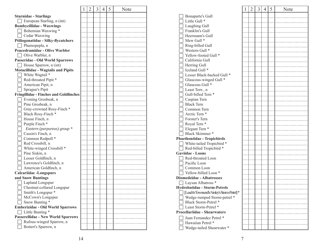|                                               | 1 | $\overline{2}$ | 3 | 4 | 5 | Note |
|-----------------------------------------------|---|----------------|---|---|---|------|
| <b>Sturnidae - Starlings</b>                  |   |                |   |   |   |      |
| European Starling, n (int)                    |   |                |   |   |   |      |
| <b>Bombycillidae - Waxwings</b>               |   |                |   |   |   |      |
| Bohemian Waxwing *                            |   |                |   |   |   |      |
| Cedar Waxwing                                 |   |                |   |   |   |      |
| Ptiliogonatidae - Silky-flycatchers           |   |                |   |   |   |      |
| Phainopepla, n                                |   |                |   |   |   |      |
| <b>Peucedramidae - Olive Warbler</b>          |   |                |   |   |   |      |
| Olive Warbler, n                              |   |                |   |   |   |      |
| Passeridae - Old World Sparrows               |   |                |   |   |   |      |
| House Sparrow, n (int)                        |   |                |   |   |   |      |
|                                               |   |                |   |   |   |      |
| <b>Motacillidae - Wagtails and Pipits</b>     |   |                |   |   |   |      |
| White Wagtail *                               |   |                |   |   |   |      |
| Red-throated Pipit *                          |   |                |   |   |   |      |
| American Pipit, n                             |   |                |   |   |   |      |
| Sprague's Pipit                               |   |                |   |   |   |      |
| <b>Fringillidae - Finches and Goldfinches</b> |   |                |   |   |   |      |
| Evening Grosbeak, n                           |   |                |   |   |   |      |
| Pine Grosbeak, n                              |   |                |   |   |   |      |
| Gray-crowned Rosy-Finch *                     |   |                |   |   |   |      |
| Black Rosy-Finch*                             |   |                |   |   |   |      |
| House Finch, n                                |   |                |   |   |   |      |
| Purple Finch <sup>*</sup>                     |   |                |   |   |   |      |
| Eastern (purpureus) group *                   |   |                |   |   |   |      |
| Cassin's Finch, n                             |   |                |   |   |   |      |
| Common Redpoll *                              |   |                |   |   |   |      |
| Red Crossbill, n                              |   |                |   |   |   |      |
| White-winged Crossbill *                      |   |                |   |   |   |      |
| Pine Siskin, n                                |   |                |   |   |   |      |
| Lesser Goldfinch, n                           |   |                |   |   |   |      |
| Lawrence's Goldfinch, n                       |   |                |   |   |   |      |
| American Goldfinch, n                         |   |                |   |   |   |      |
| <b>Calcariidae -Longspurs</b>                 |   |                |   |   |   |      |
| and Snow Buntings                             |   |                |   |   |   |      |
| Lapland Longspur                              |   |                |   |   |   |      |
| Chestnut-collared Longspur                    |   |                |   |   |   |      |
| Smith's Longspur *                            |   |                |   |   |   |      |
| McCown's Longspur                             |   |                |   |   |   |      |
| Snow Bunting *                                |   |                |   |   |   |      |
| <b>Emberizidae - Old World Sparrows</b>       |   |                |   |   |   |      |
| Little Bunting *                              |   |                |   |   |   |      |
| <b>Passerellidae - New World Sparrows</b>     |   |                |   |   |   |      |
| Rufous-winged Sparrow, n                      |   |                |   |   |   |      |
| Botteri's Sparrow, n                          |   |                |   |   |   |      |

|                                             | 1 | $\overline{2}$ | 3 | 4 | 5 | Note |
|---------------------------------------------|---|----------------|---|---|---|------|
| Bonaparte's Gull                            |   |                |   |   |   |      |
| Little Gull <sup>*</sup>                    |   |                |   |   |   |      |
| Laughing Gull                               |   |                |   |   |   |      |
| Franklin's Gull                             |   |                |   |   |   |      |
| Heermann's Gull                             |   |                |   |   |   |      |
| Mew Gull <sup>*</sup>                       |   |                |   |   |   |      |
| Ring-billed Gull                            |   |                |   |   |   |      |
| Western Gull <sup>*</sup>                   |   |                |   |   |   |      |
| Yellow-footed Gull <sup>*</sup>             |   |                |   |   |   |      |
| California Gull                             |   |                |   |   |   |      |
| Herring Gull                                |   |                |   |   |   |      |
| Iceland Gull <sup>*</sup>                   |   |                |   |   |   |      |
| Lesser Black-backed Gull <sup>*</sup>       |   |                |   |   |   |      |
| Glaucous-winged Gull <sup>*</sup>           |   |                |   |   |   |      |
| Glaucous Gull <sup>*</sup>                  |   |                |   |   |   |      |
| Least Tern, n                               |   |                |   |   |   |      |
| Gull-billed Tern *                          |   |                |   |   |   |      |
| Caspian Tern                                |   |                |   |   |   |      |
| <b>Black Tern</b>                           |   |                |   |   |   |      |
| Common Tern                                 |   |                |   |   |   |      |
| Arctic Tern <sup>*</sup>                    |   |                |   |   |   |      |
| Forster's Tern                              |   |                |   |   |   |      |
| Royal Tern <sup>*</sup>                     |   |                |   |   |   |      |
| Elegant Tern <sup>*</sup>                   |   |                |   |   |   |      |
| Black Skimmer*                              |   |                |   |   |   |      |
| <b>Phaethontidae - Tropicbirds</b>          |   |                |   |   |   |      |
| White-tailed Tropicbird *                   |   |                |   |   |   |      |
| Red-billed Tropicbird*                      |   |                |   |   |   |      |
| <b>Gaviidae - Loons</b>                     |   |                |   |   |   |      |
| Red-throated Loon                           |   |                |   |   |   |      |
| Pacific Loon                                |   |                |   |   |   |      |
| Common Loon                                 |   |                |   |   |   |      |
| Yellow-billed Loon <sup>*</sup>             |   |                |   |   |   |      |
| <b>Diomedeidae - Albatrosses</b>            |   |                |   |   |   |      |
| Laysan Albatross <sup>*</sup>               |   |                |   |   |   |      |
| <b>Hydrobatidae - Storm-Petrels</b>         |   |                |   |   |   |      |
| [Leach's/Townsend's/Ainley's Storm-Petrel]* |   |                |   |   |   |      |
| Wedge-rumped Storm-petrel *                 |   |                |   |   |   |      |
| Black Storm-Petrel *                        |   |                |   |   |   |      |
| Least Storm-Petrel *                        |   |                |   |   |   |      |
| <b>Procellariidae - Shearwaters</b>         |   |                |   |   |   |      |
|                                             |   |                |   |   |   |      |
| Juan Fernandez Petrel *                     |   |                |   |   |   |      |
| Hawaiian Petrel *                           |   |                |   |   |   |      |
| Wedge-tailed Shearwater*                    |   |                |   |   |   |      |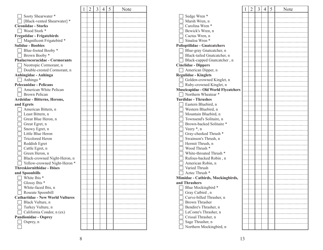|                                         | 1 | 2 | 3    | 4    | 5         | Note |
|-----------------------------------------|---|---|------|------|-----------|------|
| Sooty Shearwater *                      |   |   |      |      |           |      |
| [Black-vented Shearwater] *             |   |   |      |      |           |      |
| <b>Ciconiidae - Storks</b>              |   |   |      |      |           |      |
| Wood Stork *                            |   |   |      |      |           |      |
| <b>Fregatidae - Frigatebirds</b>        |   |   |      |      |           |      |
| $\Box$ Magnificent Frigatebird $*$      |   |   |      | .    | .         |      |
| <b>Sulidae - Boobies</b>                |   |   |      | .    | .         |      |
| Blue-footed Booby *                     |   |   |      | .    | .         |      |
| Brown Booby *                           |   |   |      | .    | .         |      |
| <b>Phalacrocoracidae - Cormorants</b>   |   |   | . 1  | .    | .         |      |
| Neotropic Cormorant, n                  |   |   |      | . 1. | .         |      |
| Double-crested Cormorant, n             |   |   |      | . 1  | .         |      |
| Anhingidae - Anhinga                    |   |   |      | . 1. | .         |      |
| Anhinga*                                |   |   | . 1  | .    | .         |      |
| <b>Pelecanidae - Pelicans</b>           |   |   | . 1  | .    | .         |      |
| American White Pelican                  |   |   | . 1  | .    | .         |      |
| Brown Pelican                           |   |   | . 1  | .    | .         |      |
| Ardeidae - Bitterns, Herons,            |   |   | . 1  | .    | .         |      |
| and Egrets                              |   |   | . 1  | .    | .         |      |
|                                         |   |   |      | .    | .         |      |
| American Bittern, n<br>Least Bittern, n |   |   |      | .    | .         |      |
| Great Blue Heron, n                     |   |   |      | .    | .         |      |
|                                         |   |   |      | .    | .         |      |
| Great Egret, n                          |   |   |      | .    | .         |      |
| Snowy Egret, n                          |   |   |      | .    | .         |      |
| Little Blue Heron                       |   |   |      | .    | .         |      |
| Tricolored Heron                        |   |   |      | .    | .         |      |
| Reddish Egret                           |   |   |      | .    | .         |      |
| $\Box$ Cattle Egret, n                  |   |   |      | .    | .         |      |
| Green Heron, n                          |   |   |      | .    |           |      |
| Black-crowned Night-Heron, n            |   |   | 1    | .    |           |      |
| Yellow-crowned Night-Heron *            |   |   | . 1. | .    |           |      |
| <b>Threskiornithidae - Ibises</b>       |   |   | . 1  | .    |           |      |
| and Spoonbills                          |   |   | . 1. | .    | .         |      |
| White Ibis *                            |   |   |      |      |           |      |
| Glossy Ibis *                           |   |   |      |      | <b> .</b> |      |
| White-faced Ibis, n                     |   |   |      |      |           |      |
| Roseate Spoonbill                       |   |   |      |      |           |      |
| <b>Cathartidae - New World Vultures</b> |   |   |      |      |           |      |
| Black Vulture, n                        |   |   |      |      |           |      |
| Turkey Vulture, n                       |   |   |      |      |           |      |
| California Condor, n (ex)               |   |   |      |      |           |      |
| <b>Pandionidae - Osprey</b>             |   |   |      |      |           |      |
| Osprey, n                               |   |   |      |      |           |      |
|                                         |   |   |      |      |           |      |

┱

᠇

|                                             | I | 2 | 3 | 4 | 5 | Note |
|---------------------------------------------|---|---|---|---|---|------|
| Sedge Wren *                                |   |   |   |   |   |      |
| Marsh Wren, n                               |   |   |   |   |   |      |
| Carolina Wren *                             |   |   |   |   |   |      |
| Bewick's Wren, n                            |   |   |   |   |   |      |
| Cactus Wren, n                              |   |   |   |   |   |      |
| Sinaloa Wren *                              |   |   |   |   |   |      |
| <b>Polioptilidae - Gnatcatchers</b>         |   |   |   |   |   |      |
| Blue-gray Gnatcatcher, n                    |   |   |   |   |   |      |
| Black-tailed Gnatcatcher, n                 |   |   |   |   |   |      |
| Black-capped Gnatcatcher, n                 |   |   |   |   |   |      |
| <b>Cinclidae - Dippers</b>                  |   |   |   |   |   |      |
| American Dipper, n                          |   |   |   |   |   |      |
| <b>Regulidae - Kinglets</b>                 |   |   |   |   |   |      |
| Golden-crowned Kinglet, n                   |   |   |   |   |   |      |
| Ruby-crowned Kinglet, n                     |   |   |   |   |   |      |
| <b>Muscicapidae - Old World Flycatchers</b> |   |   |   |   |   |      |
| Northern Wheatear *                         |   |   |   |   |   |      |
| <b>Turdidae - Thrushes</b>                  |   |   |   |   |   |      |
| Eastern Bluebird, n                         |   |   |   |   |   |      |
| Western Bluebird, n                         |   |   |   |   |   |      |
| Mountain Bluebird, n                        |   |   |   |   |   |      |
| Townsend's Solitaire, n                     |   |   |   |   |   |      |
| Brown-backed Solitaire *                    |   |   |   |   |   |      |
| Veery *, n                                  |   |   |   |   |   |      |
| Gray-cheeked Thrush *                       |   |   |   |   |   |      |
| Swainson's Thrush, n                        |   |   |   |   |   |      |
| Hermit Thrush, n                            |   |   |   |   |   |      |
| Wood Thrush <sup>*</sup>                    |   |   |   |   |   |      |
| White-throated Thrush *                     |   |   |   |   |   |      |
| Rufous-backed Robin, n                      |   |   |   |   |   |      |
| American Robin, n                           |   |   |   |   |   |      |
| Varied Thrush                               |   |   |   |   |   |      |
| Aztec Thrush *                              |   |   |   |   |   |      |
| Mimidae - Catbirds, Mockingbirds,           |   |   |   |   |   |      |
| and Thrashers                               |   |   |   |   |   |      |
| Blue Mockingbird *                          |   |   |   |   |   |      |
| Gray Catbird, n                             |   |   |   |   |   |      |
| Curve-billed Thrasher, n                    |   |   |   |   |   |      |
| <b>Brown Thrasher</b>                       |   |   |   |   |   |      |
| Bendire's Thrasher, n                       |   |   |   |   |   |      |
| LeConte's Thrasher, n                       |   |   |   |   |   |      |
| Crissal Thrasher, n                         |   |   |   |   |   |      |
| Sage Thrasher, n                            |   |   |   |   |   |      |
| Northern Mockingbird, n                     |   |   |   |   |   |      |

┱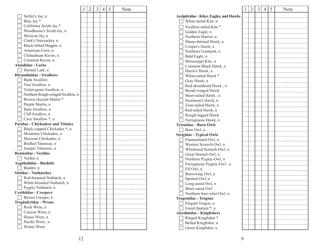|                                         | 1 | $\overline{2}$ | 3 | 4 | 5 | Note |
|-----------------------------------------|---|----------------|---|---|---|------|
| Steller's Jay, n                        |   |                |   |   |   |      |
| Blue Jay *                              |   |                |   |   |   |      |
| California Scrub-Jay *                  |   |                |   |   |   |      |
| Woodhouse's Scrub-Jay, n                |   |                |   |   |   |      |
| Mexican Jay, n                          |   |                |   |   |   |      |
| Clark's Nutcracker, n                   |   |                |   |   |   |      |
| Black-billed Magpie, n                  |   |                |   |   |   |      |
| American Crow, n                        |   |                |   |   |   |      |
| Chihuahuan Raven, n                     |   |                |   |   |   |      |
| Common Raven, n                         |   |                |   |   |   |      |
| <b>Alaudidae - Larks</b>                |   |                |   |   |   |      |
| Horned Lark, n                          |   |                |   |   |   |      |
| <b>Hirundinidae - Swallows</b>          |   |                |   |   |   |      |
| <b>Bank Swallow</b>                     |   |                |   |   |   |      |
| Tree Swallow, n                         |   |                |   |   |   |      |
| Violet-green Swallow, n                 |   |                |   |   |   |      |
| Northern Rough-winged Swallow, n        |   |                |   |   |   |      |
| Brown-chested Martin *                  |   |                |   |   |   |      |
| Purple Martin, n                        |   |                |   |   |   |      |
| Barn Swallow, n                         |   |                |   |   |   |      |
| Cliff Swallow, n                        |   |                |   |   |   |      |
| Cave Swallow *, n                       |   |                |   |   |   |      |
| <b>Paridae - Chickadees and Titmice</b> |   |                |   |   |   |      |
| Black-capped Chickadee *, n             |   |                |   |   |   |      |
| Mountain Chickadee, n                   |   |                |   |   |   |      |
| Mexican Chickadee, n                    |   |                |   |   |   |      |
| Bridled Titmouse, n                     |   |                |   |   |   |      |
| Juniper Titmouse, n                     |   |                |   |   |   |      |
| <b>Remizidae - Verdins</b>              |   |                |   |   |   |      |
| Verdin, n                               |   |                |   |   |   |      |
| <b>Aegithalidae - Bushtits</b>          |   |                |   |   |   |      |
| Bushtit, n                              |   |                |   |   |   |      |
| <b>Sittidae - Nuthatches</b>            |   |                |   |   |   |      |
| Red-breasted Nuthatch, n                |   |                |   |   |   |      |
| White-breasted Nuthatch, n              |   |                |   |   |   |      |
| Pygmy Nuthatch, n                       |   |                |   |   |   |      |
| <b>Certhiidae - Creepers</b>            |   |                |   |   |   |      |
| Brown Creeper, n                        |   |                |   |   |   |      |
| <b>Troglodytidae - Wrens</b>            |   |                |   |   |   |      |
| Rock Wren, n                            |   |                |   |   |   |      |
| Canyon Wren, n                          |   |                |   |   |   |      |
| House Wren, n                           |   |                |   |   |   |      |
| Pacific Wren, n                         |   |                |   |   |   |      |
| Winter Wren                             |   |                |   |   |   |      |

|                                                | 1 | $\overline{2}$ | 3 | $\overline{4}$ | 5 | Note |
|------------------------------------------------|---|----------------|---|----------------|---|------|
| <b>Accipitridae - Kites, Eagles, and Hawks</b> |   |                |   |                |   |      |
| White-tailed Kite, n                           |   |                |   |                |   |      |
|                                                |   |                |   |                |   |      |
| Swallow-tailed Kite <sup>*</sup>               |   |                |   |                |   |      |
| Golden Eagle, n                                |   |                |   |                |   |      |
| Northern Harrier, n                            |   |                |   |                |   |      |
| Sharp-shinned Hawk, n                          |   |                |   |                |   |      |
| Cooper's Hawk, n                               |   |                |   |                |   |      |
| Northern Goshawk, n                            |   |                |   |                |   |      |
| Bald Eagle, n                                  |   |                |   |                |   |      |
| Mississippi Kite, n                            |   |                |   |                |   |      |
| Common Black Hawk, n                           |   |                |   |                |   |      |
| Harris's Hawk, n                               |   |                |   |                |   |      |
| White-tailed Hawk *                            |   |                |   |                |   |      |
| Gray Hawk, n                                   |   |                |   |                |   |      |
| Red-shouldered Hawk, n                         |   |                |   |                |   |      |
| Broad-winged Hawk                              |   |                |   |                |   |      |
| Short-tailed Hawk, n                           |   |                |   |                |   |      |
| Swainson's Hawk, n                             |   |                |   |                |   |      |
| Zone-tailed Hawk, n                            |   |                |   |                |   |      |
| Red-tailed Hawk, n                             |   |                |   |                |   |      |
| Rough-legged Hawk                              |   |                |   |                |   |      |
| Ferruginous Hawk, n                            |   |                |   |                |   |      |
| <b>Tytonidae - Barn Owls</b>                   |   |                |   |                |   |      |
| Barn Owl, n                                    |   |                |   |                |   |      |
|                                                |   |                |   |                |   |      |
| <b>Strigidae - Typical Owls</b>                |   |                |   |                |   |      |
| Flammulated Owl, n                             |   |                |   |                |   |      |
| Western Screech-Owl, n                         |   |                |   |                |   |      |
| Whiskered Screech-Owl, n                       |   |                |   |                |   |      |
| Great Horned Owl, n                            |   |                |   |                |   |      |
| Northern Pygmy-Owl, n                          |   |                |   |                |   |      |
| Ferruginous Pygmy-Owl, n                       |   |                |   |                |   |      |
| Elf Owl, n                                     |   |                |   |                |   |      |
| Burrowing Owl, n                               |   |                |   |                |   |      |
| Spotted Owl, n                                 |   |                |   |                |   |      |
| Long-eared Owl, n                              |   |                |   |                |   |      |
| Short-eared Owl                                |   |                |   |                |   |      |
| Northern Saw-whet Owl, n                       |   |                |   |                |   |      |
| <b>Trogonidae - Trogons</b>                    |   |                |   |                |   |      |
| Elegant Trogon, n                              |   |                |   |                |   |      |
| Eared Quetzal *, n                             |   |                |   |                |   |      |
| <b>Alcedinidae - Kingfishers</b>               |   |                |   |                |   |      |
| Ringed Kingfisher*                             |   |                |   |                |   |      |
| Belted Kingfisher, n                           |   |                |   |                |   |      |
| Green Kingfisher, n                            |   |                |   |                |   |      |